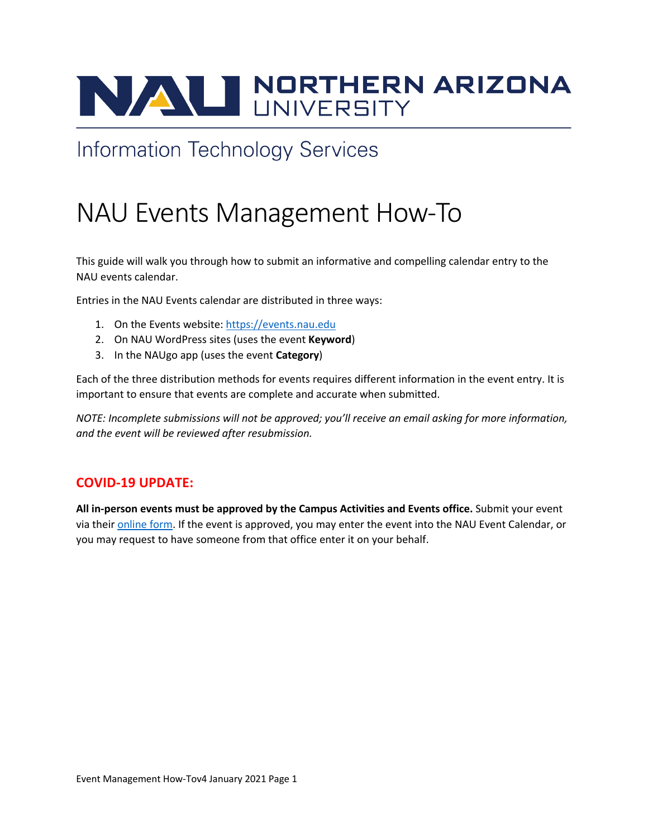# NAU NORTHERN ARIZONA

# **Information Technology Services**

# NAU Events Management How-To

This guide will walk you through how to submit an informative and compelling calendar entry to the NAU events calendar.

Entries in the NAU Events calendar are distributed in three ways:

- 1. On the Events website: https://events.nau.edu
- 2. On NAU WordPress sites (uses the event **Keyword**)
- 3. In the NAUgo app (uses the event **Category**)

Each of the three distribution methods for events requires different information in the event entry. It is important to ensure that events are complete and accurate when submitted.

*NOTE: Incomplete submissions will not be approved; you'll receive an email asking for more information, and the event will be reviewed after resubmission.*

## **COVID-19 UPDATE:**

**All in-person events must be approved by the Campus Activities and Events office.** Submit your event via their online form. If the event is approved, you may enter the event into the NAU Event Calendar, or you may request to have someone from that office enter it on your behalf.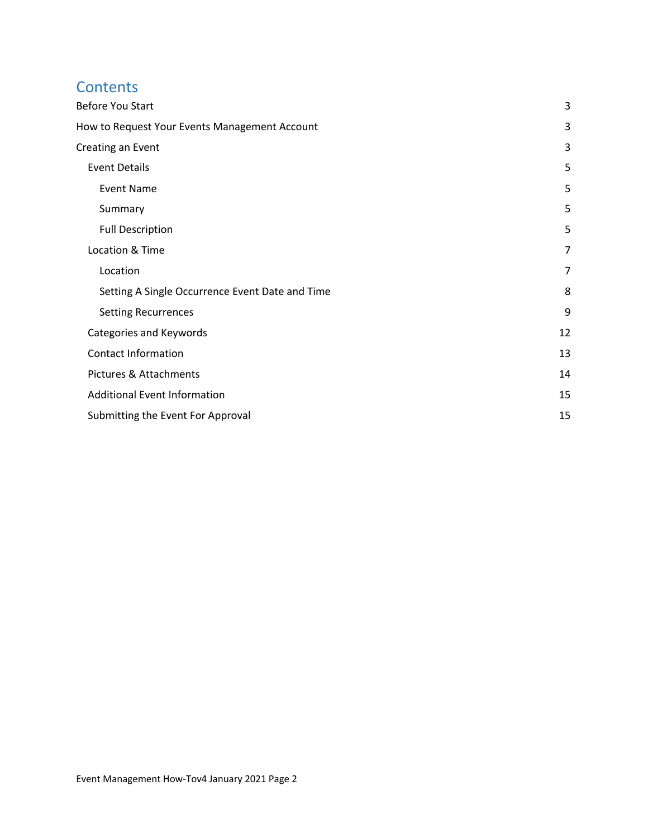# **Contents**

| Before You Start                                | 3              |
|-------------------------------------------------|----------------|
| How to Request Your Events Management Account   | 3              |
| Creating an Event                               | 3              |
| <b>Event Details</b>                            | 5              |
| <b>Event Name</b>                               | 5              |
| Summary                                         | 5              |
| <b>Full Description</b>                         | 5              |
| Location & Time                                 | 7              |
| Location                                        | $\overline{7}$ |
| Setting A Single Occurrence Event Date and Time | 8              |
| <b>Setting Recurrences</b>                      | 9              |
| Categories and Keywords                         | 12             |
| <b>Contact Information</b>                      | 13             |
| Pictures & Attachments                          | 14             |
| <b>Additional Event Information</b>             | 15             |
| Submitting the Event For Approval               | 15             |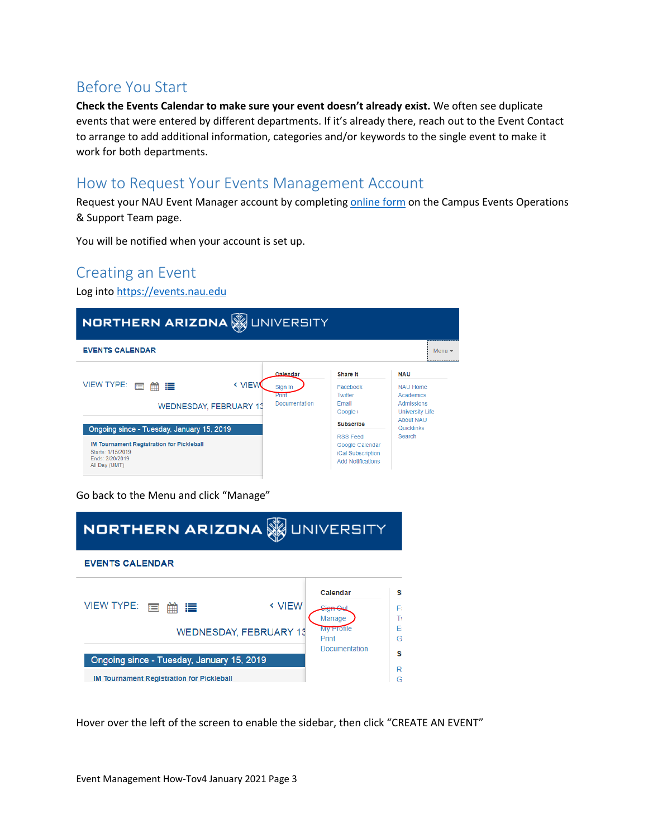# Before You Start

**Check the Events Calendar to make sure your event doesn't already exist.** We often see duplicate events that were entered by different departments. If it's already there, reach out to the Event Contact to arrange to add additional information, categories and/or keywords to the single event to make it work for both departments.

# How to Request Your Events Management Account

Request your NAU Event Manager account by completing online form on the Campus Events Operations & Support Team page.

You will be notified when your account is set up.

# Creating an Event

Log into https://events.nau.edu



Go back to the Menu and click "Manage"

| <b>NORTHERN ARIZONA WUNIVERSITY</b>                                                           |                  |                                                             |                           |
|-----------------------------------------------------------------------------------------------|------------------|-------------------------------------------------------------|---------------------------|
| <b>EVENTS CALENDAR</b>                                                                        |                  |                                                             |                           |
| <b>VIEW TYPE:</b><br>這<br>$\blacksquare$<br>雦<br><b>WEDNESDAY, FEBRUARY 13</b>                | <b>&lt; VIEW</b> | Calendar<br>Sian Ou<br>Manage<br><b>My Profile</b><br>Print | sı<br>F.<br>T١<br>Fι<br>Ğ |
| Ongoing since - Tuesday, January 15, 2019<br><b>IM Tournament Registration for Pickleball</b> |                  | Documentation                                               | Sı<br>R.<br>G             |

Hover over the left of the screen to enable the sidebar, then click "CREATE AN EVENT"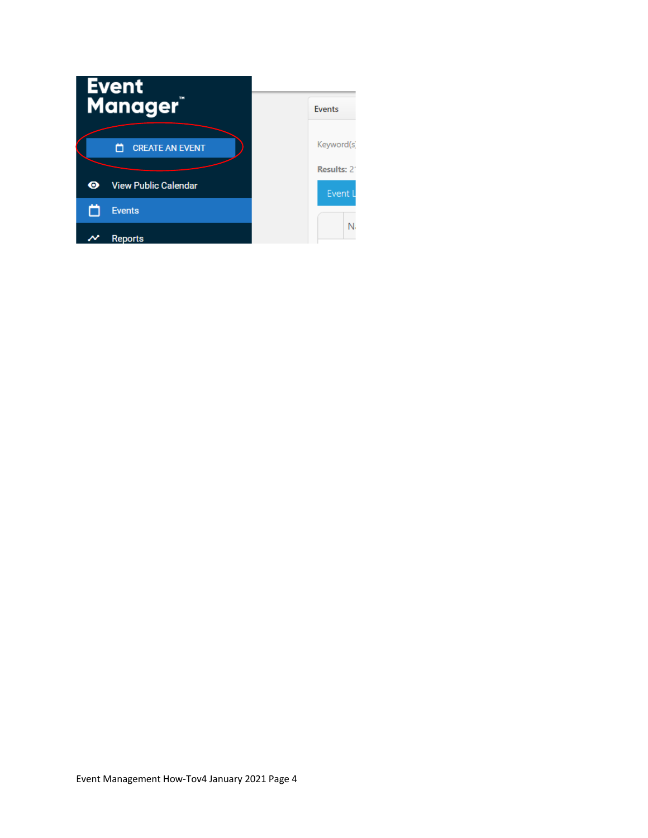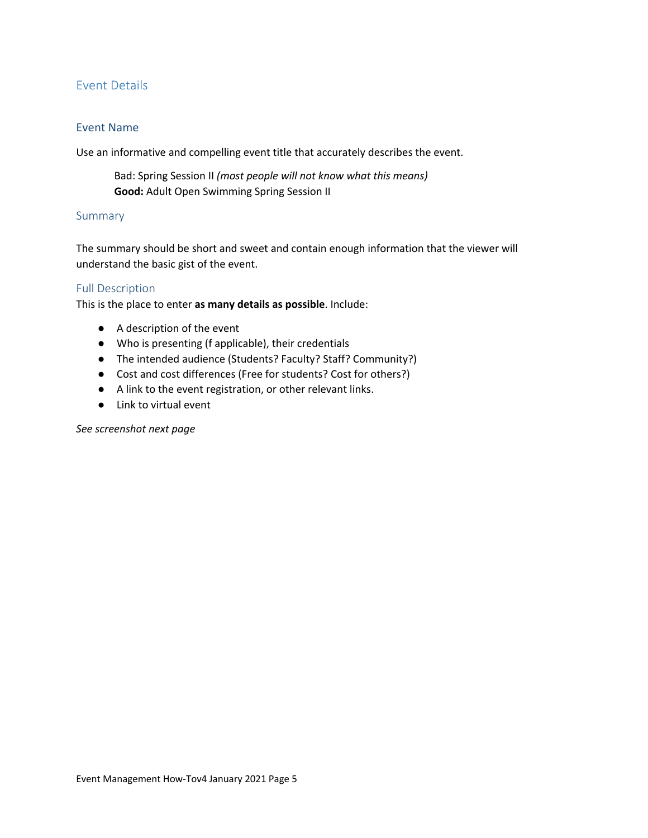#### Event Details

#### Event Name

Use an informative and compelling event title that accurately describes the event.

Bad: Spring Session II *(most people will not know what this means)* **Good:** Adult Open Swimming Spring Session II

#### Summary

The summary should be short and sweet and contain enough information that the viewer will understand the basic gist of the event.

#### Full Description

This is the place to enter **as many details as possible**. Include:

- A description of the event
- Who is presenting (f applicable), their credentials
- The intended audience (Students? Faculty? Staff? Community?)
- Cost and cost differences (Free for students? Cost for others?)
- A link to the event registration, or other relevant links.
- Link to virtual event

*See screenshot next page*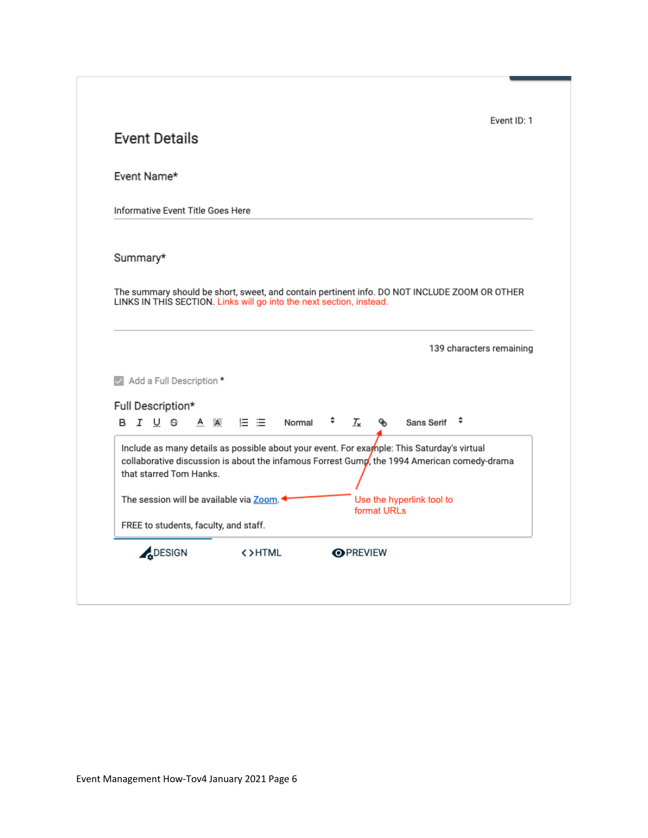| Event Name*                                                                                                                                                                                                          |            |         |        |     |                            |             |                           |   |                          |
|----------------------------------------------------------------------------------------------------------------------------------------------------------------------------------------------------------------------|------------|---------|--------|-----|----------------------------|-------------|---------------------------|---|--------------------------|
| Informative Event Title Goes Here                                                                                                                                                                                    |            |         |        |     |                            |             |                           |   |                          |
| Summary*                                                                                                                                                                                                             |            |         |        |     |                            |             |                           |   |                          |
| The summary should be short, sweet, and contain pertinent info. DO NOT INCLUDE ZOOM OR OTHER<br>LINKS IN THIS SECTION. Links will go into the next section, instead.                                                 |            |         |        |     |                            |             |                           |   |                          |
|                                                                                                                                                                                                                      |            |         |        |     |                            |             |                           |   |                          |
|                                                                                                                                                                                                                      |            |         |        |     |                            |             |                           |   | 139 characters remaining |
|                                                                                                                                                                                                                      |            |         |        |     |                            |             |                           |   |                          |
|                                                                                                                                                                                                                      |            |         |        |     |                            |             |                           |   |                          |
| Add a Full Description *<br>Full Description*<br>B <i>I</i> U <del>S</del>                                                                                                                                           | $A \times$ | 狂 法 しょう | Normal | . . | $\mathcal{T}_{\mathbf{x}}$ | ⊛           | Sans Serif                | ٠ |                          |
| Include as many details as possible about your event. For example: This Saturday's virtual<br>collaborative discussion is about the infamous Forrest Gump, the 1994 American comedy-drama<br>that starred Tom Hanks. |            |         |        |     |                            |             |                           |   |                          |
| The session will be available via Zoom.                                                                                                                                                                              |            |         |        |     |                            | format URLs | Use the hyperlink tool to |   |                          |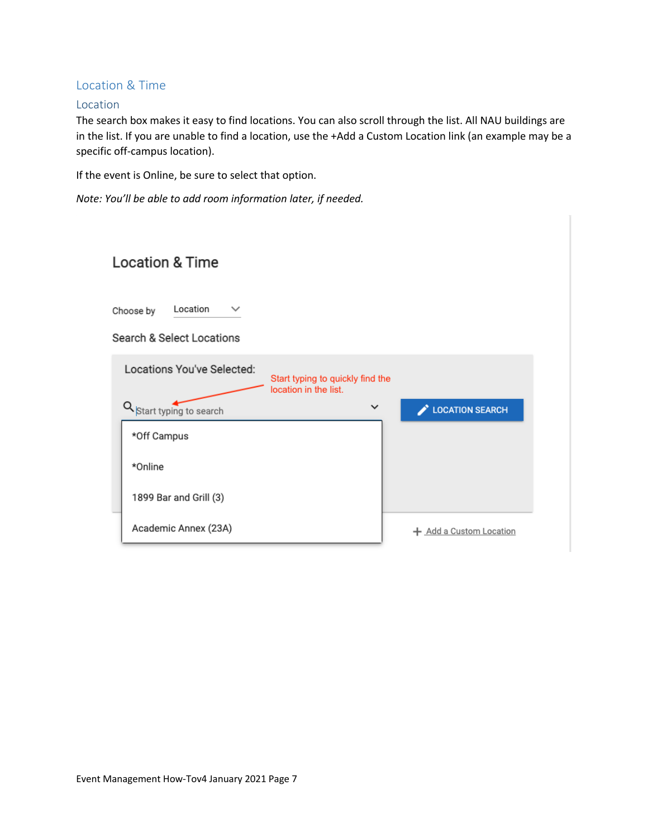#### Location & Time

#### Location

The search box makes it easy to find locations. You can also scroll through the list. All NAU buildings are in the list. If you are unable to find a location, use the +Add a Custom Location link (an example may be a specific off-campus location).

If the event is Online, be sure to select that option.

*Note: You'll be able to add room information later, if needed.* 

| <b>Location &amp; Time</b>                                                                                                          |                         |
|-------------------------------------------------------------------------------------------------------------------------------------|-------------------------|
| Location<br>$\checkmark$<br>Choose by<br>Search & Select Locations                                                                  |                         |
| Locations You've Selected:<br>Start typing to quickly find the<br>location in the list.<br>Q Start typing to search<br>$\checkmark$ | <b>LOCATION SEARCH</b>  |
| *Off Campus                                                                                                                         |                         |
| *Online                                                                                                                             |                         |
| 1899 Bar and Grill (3)                                                                                                              |                         |
| Academic Annex (23A)                                                                                                                | + Add a Custom Location |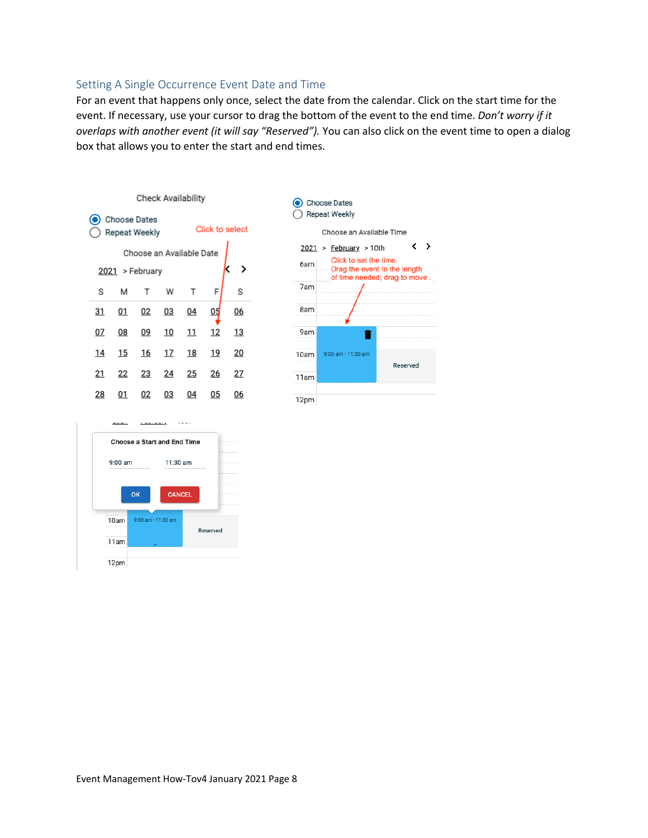#### Setting A Single Occurrence Event Date and Time

For an event that happens only once, select the date from the calendar. Click on the start time for the event. If necessary, use your cursor to drag the bottom of the event to the end time. *Don't worry if it overlaps with another event (it will say "Reserved").* You can also click on the event time to open a dialog box that allows you to enter the start and end times.





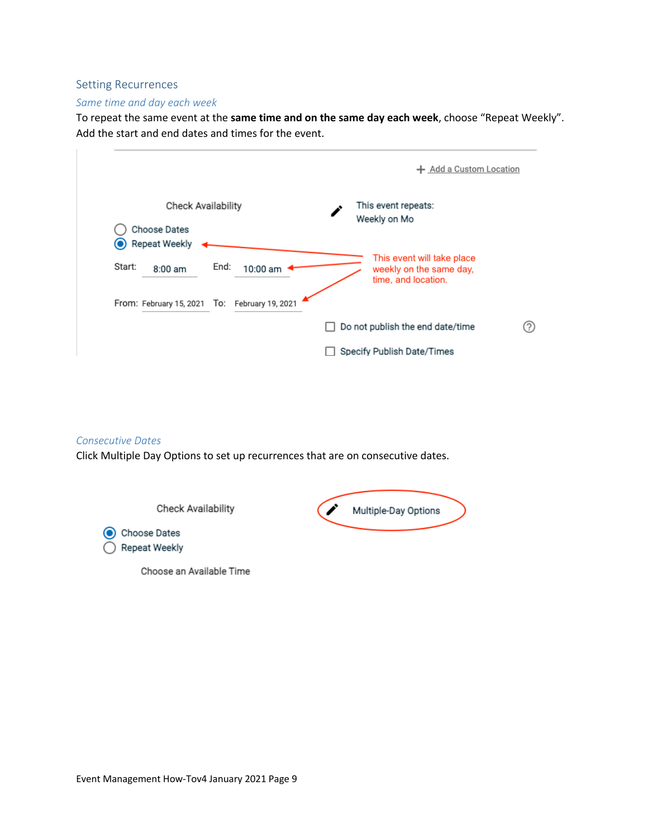#### Setting Recurrences

#### *Same time and day each week*

To repeat the same event at the **same time and on the same day each week**, choose "Repeat Weekly". Add the start and end dates and times for the event.

|                                                                            | Add a Custom Location<br>÷.                                                  |
|----------------------------------------------------------------------------|------------------------------------------------------------------------------|
| <b>Check Availability</b><br>Choose Dates                                  | This event repeats:<br>Weekly on Mo                                          |
| <b>Repeat Weekly</b><br>$\odot$<br>End:<br>Start:<br>10:00 am<br>$8:00$ am | This event will take place<br>weekly on the same day,<br>time, and location. |
| From: February 15, 2021 To:<br>February 19, 2021                           |                                                                              |
|                                                                            | Do not publish the end date/time<br>?                                        |
|                                                                            | Specify Publish Date/Times                                                   |

#### *Consecutive Dates*

Click Multiple Day Options to set up recurrences that are on consecutive dates.

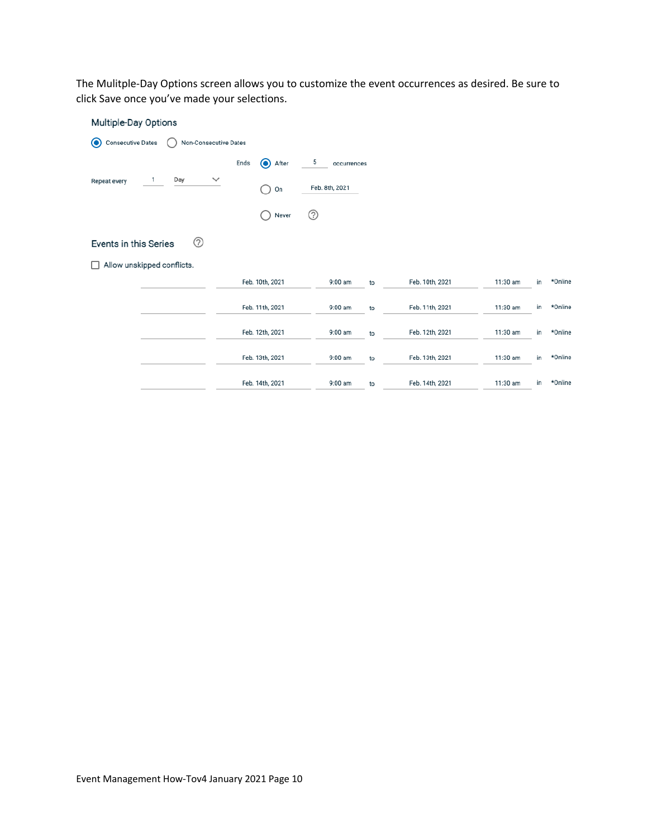The Mulitple-Day Options screen allows you to customize the event occurrences as desired. Be sure to click Save once you've made your selections.

| Multiple-Day Options                                         |                           |                  |    |                 |          |    |         |
|--------------------------------------------------------------|---------------------------|------------------|----|-----------------|----------|----|---------|
| <b>Consecutive Dates</b><br>Non-Consecutive Dates<br>$\odot$ |                           |                  |    |                 |          |    |         |
|                                                              | $\bf{O}$<br>Ends<br>After | 5<br>occurrences |    |                 |          |    |         |
| Day<br>$\checkmark$<br>1<br>Repeat every                     | On<br>۰                   | Feb. 8th, 2021   |    |                 |          |    |         |
|                                                              | Never<br>$\Box$           | ⊚                |    |                 |          |    |         |
| ⊚<br>Events in this Series                                   |                           |                  |    |                 |          |    |         |
| Allow unskipped conflicts.<br>ΙI                             |                           |                  |    |                 |          |    |         |
|                                                              | Feb. 10th, 2021           | 9:00 am          | to | Feb. 10th, 2021 | 11:30 am | in | *Online |
|                                                              | Feb. 11th, 2021           | 9:00 am          | to | Feb. 11th, 2021 | 11:30 am | in | *Online |
|                                                              | Feb. 12th, 2021           | 9:00 am          | to | Feb. 12th, 2021 | 11:30 am | in | *Online |
|                                                              | Feb. 13th, 2021           | 9:00 am          | to | Feb. 13th, 2021 | 11:30 am | in | *Online |
|                                                              | Feb. 14th, 2021           | 9:00 am          | to | Feb. 14th, 2021 | 11:30 am | in | *Online |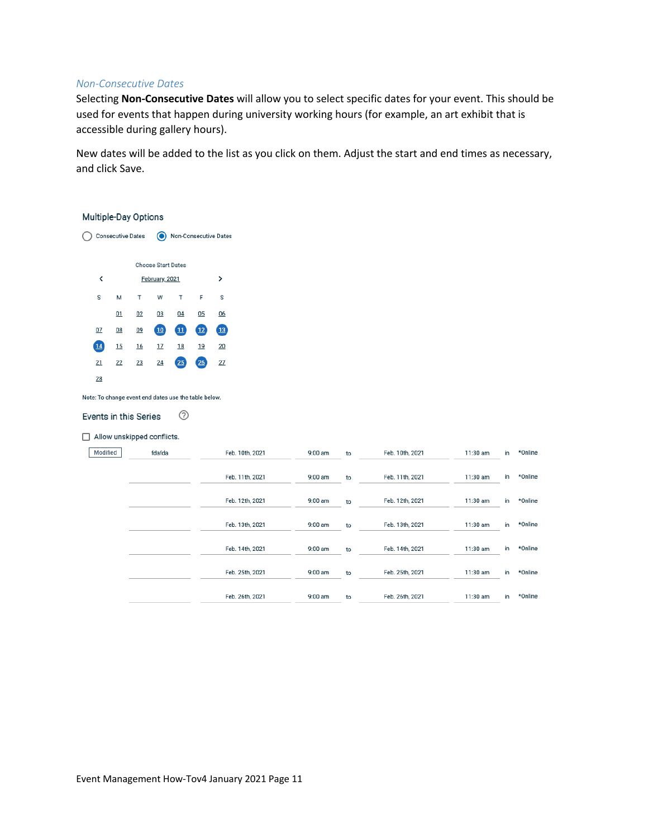#### *Non-Consecutive Dates*

Selecting **Non-Consecutive Dates** will allow you to select specific dates for your event. This should be used for events that happen during university working hours (for example, an art exhibit that is accessible during gallery hours).

New dates will be added to the list as you click on them. Adjust the start and end times as necessary, and click Save.

#### Multiple-Day Options





Note: To change event end dates use the table below.

#### ⊚ Events in this Series

#### $\Box$  Allow unskipped conflicts.

| Modified | fdafda | Feb. 10th, 2021 | $9:00$ am | to | Feb. 10th, 2021 | 11:30 am | in | *Online |
|----------|--------|-----------------|-----------|----|-----------------|----------|----|---------|
|          |        | Feb. 11th, 2021 | $9:00$ am | to | Feb. 11th, 2021 | 11:30 am | in | *Online |
|          |        | Feb. 12th, 2021 | $9:00$ am | to | Feb. 12th, 2021 | 11:30 am | in | *Online |
|          |        | Feb. 13th, 2021 | $9:00$ am | to | Feb. 13th, 2021 | 11:30 am | in | *Online |
|          |        | Feb. 14th, 2021 | $9:00$ am | to | Feb. 14th, 2021 | 11:30 am | in | *Online |
|          |        | Feb. 25th, 2021 | $9:00$ am | to | Feb. 25th, 2021 | 11:30 am | in | *Online |
|          |        | Feb. 26th, 2021 | $9:00$ am | to | Feb. 26th, 2021 | 11:30 am | in | *Online |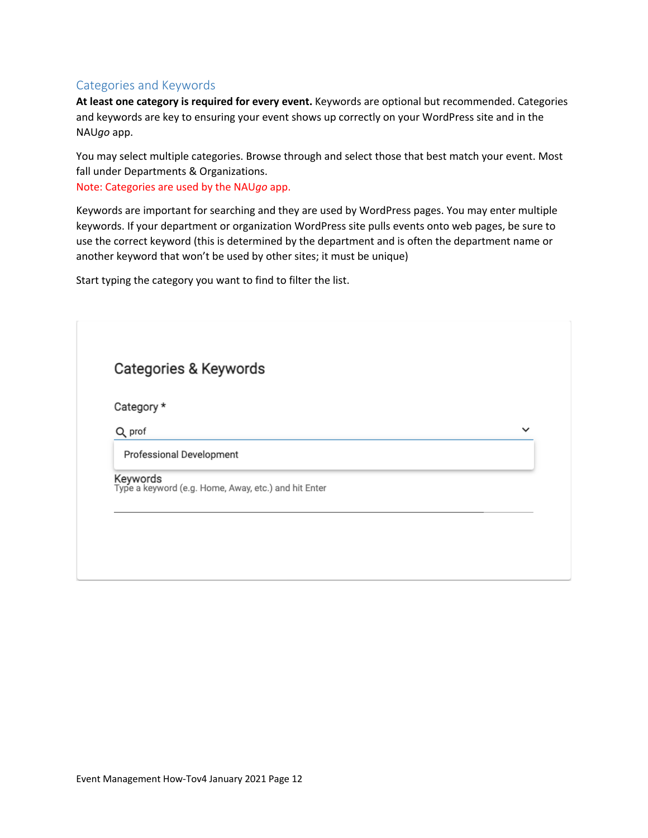#### Categories and Keywords

**At least one category is required for every event.** Keywords are optional but recommended. Categories and keywords are key to ensuring your event shows up correctly on your WordPress site and in the NAU*go* app.

You may select multiple categories. Browse through and select those that best match your event. Most fall under Departments & Organizations.

Note: Categories are used by the NAU*go* app.

Keywords are important for searching and they are used by WordPress pages. You may enter multiple keywords. If your department or organization WordPress site pulls events onto web pages, be sure to use the correct keyword (this is determined by the department and is often the department name or another keyword that won't be used by other sites; it must be unique)

Start typing the category you want to find to filter the list.

| Categories & Keywords    |                                                                  |              |
|--------------------------|------------------------------------------------------------------|--------------|
| Category *               |                                                                  |              |
| Q prof                   |                                                                  | $\checkmark$ |
| Professional Development |                                                                  |              |
|                          | Keywords<br>Type a keyword (e.g. Home, Away, etc.) and hit Enter |              |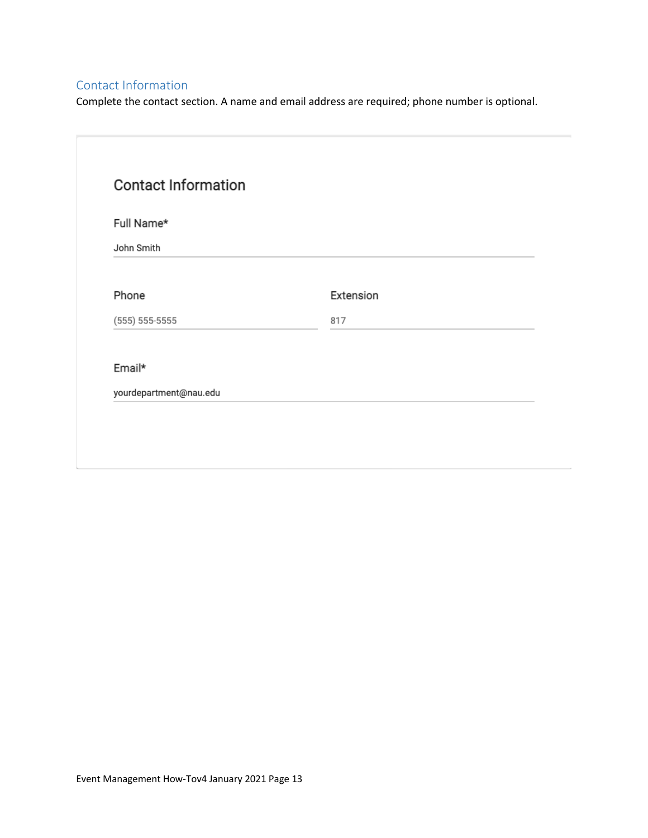## Contact Information

Complete the contact section. A name and email address are required; phone number is optional.

| Full Name*             |           |  |
|------------------------|-----------|--|
| John Smith             |           |  |
|                        |           |  |
| Phone                  | Extension |  |
| $(555) 555-5555$       | 817       |  |
| Email*                 |           |  |
| yourdepartment@nau.edu |           |  |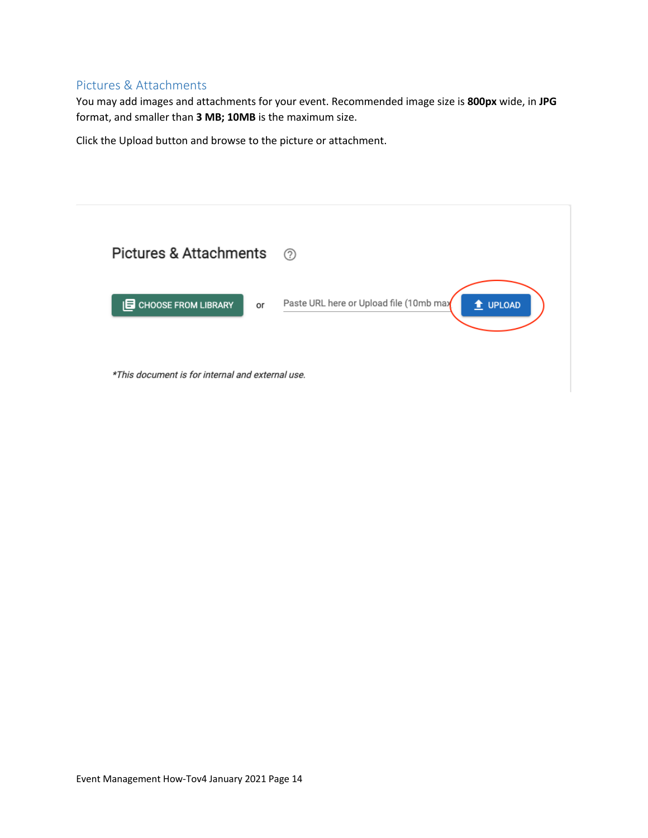#### Pictures & Attachments

You may add images and attachments for your event. Recommended image size is **800px** wide, in **JPG** format, and smaller than **3 MB; 10MB** is the maximum size.

Click the Upload button and browse to the picture or attachment.